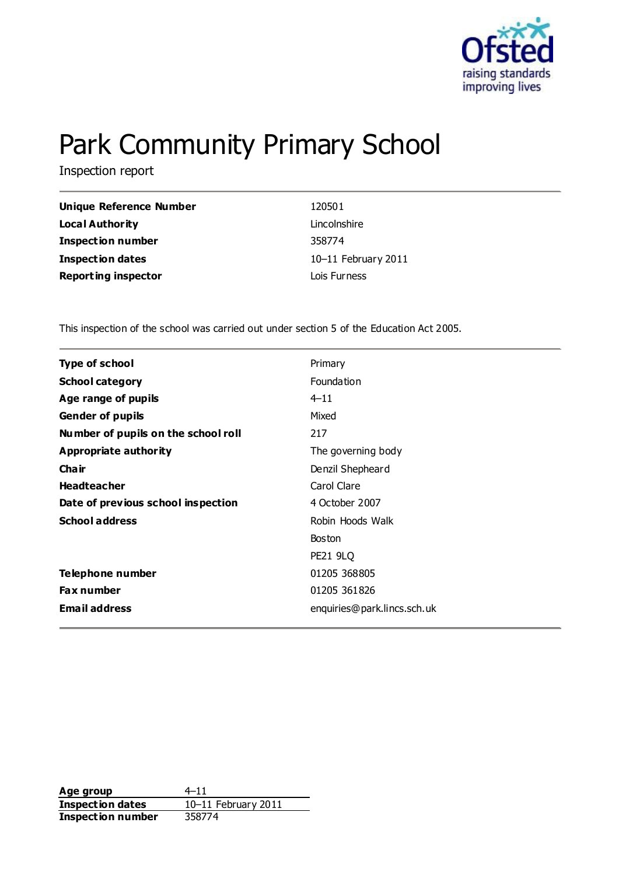

# Park Community Primary School

Inspection report

| Unique Reference Number    | 120501                |
|----------------------------|-----------------------|
| Local Authority            | Lincolnshire          |
| <b>Inspection number</b>   | 358774                |
| <b>Inspection dates</b>    | $10-11$ February 2011 |
| <b>Reporting inspector</b> | Lois Furness          |

This inspection of the school was carried out under section 5 of the Education Act 2005.

| <b>Type of school</b>               | Primary                     |
|-------------------------------------|-----------------------------|
| <b>School category</b>              | Foundation                  |
| Age range of pupils                 | $4 - 11$                    |
| <b>Gender of pupils</b>             | Mixed                       |
| Number of pupils on the school roll | 217                         |
| Appropriate authority               | The governing body          |
| Cha ir                              | Denzil Shepheard            |
| <b>Headteacher</b>                  | Carol Clare                 |
| Date of previous school inspection  | 4 October 2007              |
| <b>School address</b>               | Robin Hoods Walk            |
|                                     | <b>Boston</b>               |
|                                     | <b>PE21 9LQ</b>             |
| Telephone number                    | 01205 368805                |
| <b>Fax number</b>                   | 01205 361826                |
| <b>Email address</b>                | enquiries@park.lincs.sch.uk |

Age group  $4-11$ **Inspection dates** 10–11 February 2011 **Inspection number** 358774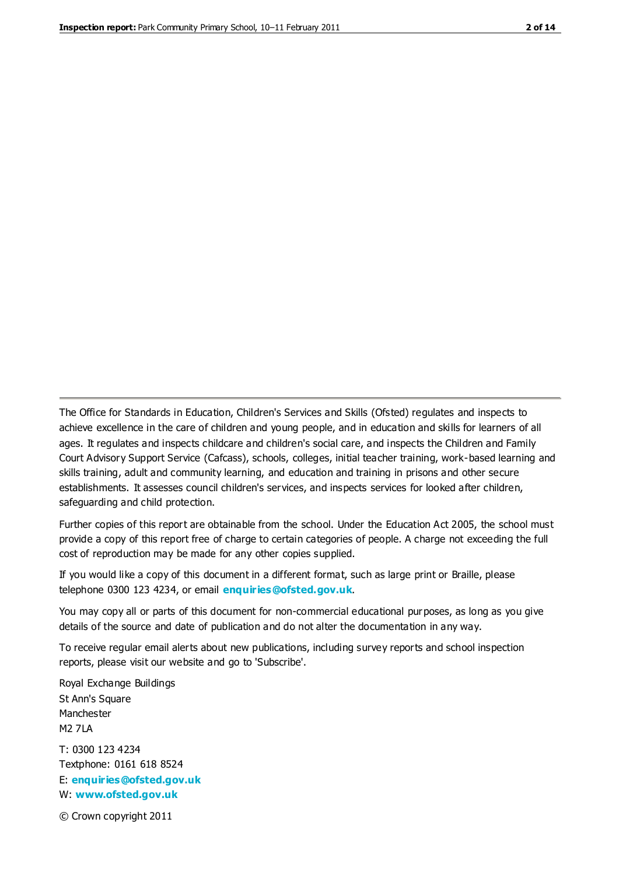The Office for Standards in Education, Children's Services and Skills (Ofsted) regulates and inspects to achieve excellence in the care of children and young people, and in education and skills for learners of all ages. It regulates and inspects childcare and children's social care, and inspects the Children and Family Court Advisory Support Service (Cafcass), schools, colleges, initial teacher training, work-based learning and skills training, adult and community learning, and education and training in prisons and other secure establishments. It assesses council children's services, and inspects services for looked after children, safeguarding and child protection.

Further copies of this report are obtainable from the school. Under the Education Act 2005, the school must provide a copy of this report free of charge to certain categories of people. A charge not exceeding the full cost of reproduction may be made for any other copies supplied.

If you would like a copy of this document in a different format, such as large print or Braille, please telephone 0300 123 4234, or email **[enquiries@ofsted.gov.uk](mailto:enquiries@ofsted.gov.uk)**.

You may copy all or parts of this document for non-commercial educational purposes, as long as you give details of the source and date of publication and do not alter the documentation in any way.

To receive regular email alerts about new publications, including survey reports and school inspection reports, please visit our website and go to 'Subscribe'.

Royal Exchange Buildings St Ann's Square Manchester M2 7LA T: 0300 123 4234 Textphone: 0161 618 8524 E: **[enquiries@ofsted.gov.uk](mailto:enquiries@ofsted.gov.uk)**

W: **[www.ofsted.gov.uk](http://www.ofsted.gov.uk/)**

© Crown copyright 2011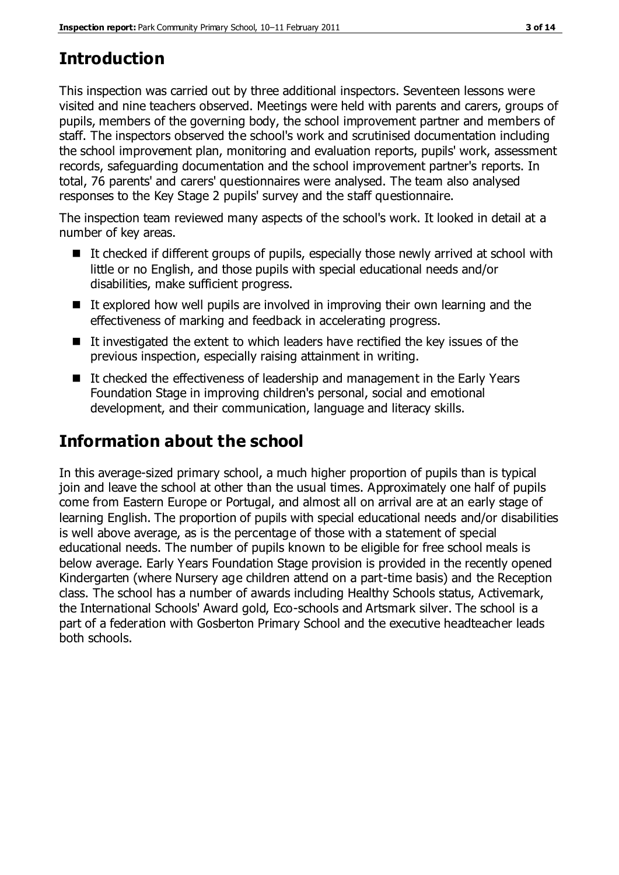# **Introduction**

This inspection was carried out by three additional inspectors. Seventeen lessons were visited and nine teachers observed. Meetings were held with parents and carers, groups of pupils, members of the governing body, the school improvement partner and members of staff. The inspectors observed the school's work and scrutinised documentation including the school improvement plan, monitoring and evaluation reports, pupils' work, assessment records, safeguarding documentation and the school improvement partner's reports. In total, 76 parents' and carers' questionnaires were analysed. The team also analysed responses to the Key Stage 2 pupils' survey and the staff questionnaire.

The inspection team reviewed many aspects of the school's work. It looked in detail at a number of key areas.

- It checked if different groups of pupils, especially those newly arrived at school with little or no English, and those pupils with special educational needs and/or disabilities, make sufficient progress.
- $\blacksquare$  It explored how well pupils are involved in improving their own learning and the effectiveness of marking and feedback in accelerating progress.
- $\blacksquare$  It investigated the extent to which leaders have rectified the key issues of the previous inspection, especially raising attainment in writing.
- It checked the effectiveness of leadership and management in the Early Years Foundation Stage in improving children's personal, social and emotional development, and their communication, language and literacy skills.

# **Information about the school**

In this average-sized primary school, a much higher proportion of pupils than is typical join and leave the school at other than the usual times. Approximately one half of pupils come from Eastern Europe or Portugal, and almost all on arrival are at an early stage of learning English. The proportion of pupils with special educational needs and/or disabilities is well above average, as is the percentage of those with a statement of special educational needs. The number of pupils known to be eligible for free school meals is below average. Early Years Foundation Stage provision is provided in the recently opened Kindergarten (where Nursery age children attend on a part-time basis) and the Reception class. The school has a number of awards including Healthy Schools status, Activemark, the International Schools' Award gold, Eco-schools and Artsmark silver. The school is a part of a federation with Gosberton Primary School and the executive headteacher leads both schools.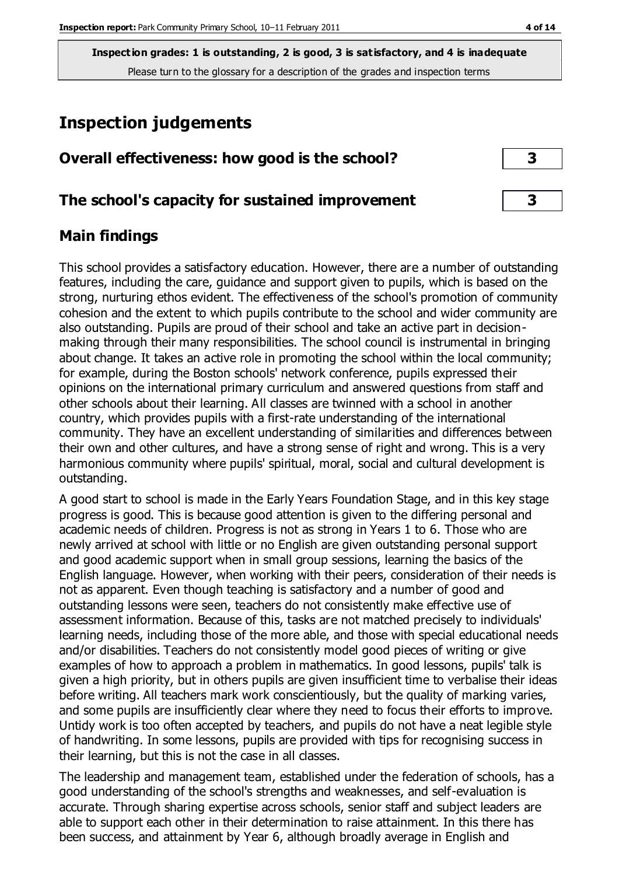# **Inspection judgements**

| Overall effectiveness: how good is the school? |  |
|------------------------------------------------|--|
|                                                |  |

## **The school's capacity for sustained improvement 3**

# **Main findings**

This school provides a satisfactory education. However, there are a number of outstanding features, including the care, guidance and support given to pupils, which is based on the strong, nurturing ethos evident. The effectiveness of the school's promotion of community cohesion and the extent to which pupils contribute to the school and wider community are also outstanding. Pupils are proud of their school and take an active part in decisionmaking through their many responsibilities. The school council is instrumental in bringing about change. It takes an active role in promoting the school within the local community; for example, during the Boston schools' network conference, pupils expressed their opinions on the international primary curriculum and answered questions from staff and other schools about their learning. All classes are twinned with a school in another country, which provides pupils with a first-rate understanding of the international community. They have an excellent understanding of similarities and differences between their own and other cultures, and have a strong sense of right and wrong. This is a very harmonious community where pupils' spiritual, moral, social and cultural development is outstanding.

A good start to school is made in the Early Years Foundation Stage, and in this key stage progress is good. This is because good attention is given to the differing personal and academic needs of children. Progress is not as strong in Years 1 to 6. Those who are newly arrived at school with little or no English are given outstanding personal support and good academic support when in small group sessions, learning the basics of the English language. However, when working with their peers, consideration of their needs is not as apparent. Even though teaching is satisfactory and a number of good and outstanding lessons were seen, teachers do not consistently make effective use of assessment information. Because of this, tasks are not matched precisely to individuals' learning needs, including those of the more able, and those with special educational needs and/or disabilities. Teachers do not consistently model good pieces of writing or give examples of how to approach a problem in mathematics. In good lessons, pupils' talk is given a high priority, but in others pupils are given insufficient time to verbalise their ideas before writing. All teachers mark work conscientiously, but the quality of marking varies, and some pupils are insufficiently clear where they need to focus their efforts to improve. Untidy work is too often accepted by teachers, and pupils do not have a neat legible style of handwriting. In some lessons, pupils are provided with tips for recognising success in their learning, but this is not the case in all classes.

The leadership and management team, established under the federation of schools, has a good understanding of the school's strengths and weaknesses, and self-evaluation is accurate. Through sharing expertise across schools, senior staff and subject leaders are able to support each other in their determination to raise attainment. In this there has been success, and attainment by Year 6, although broadly average in English and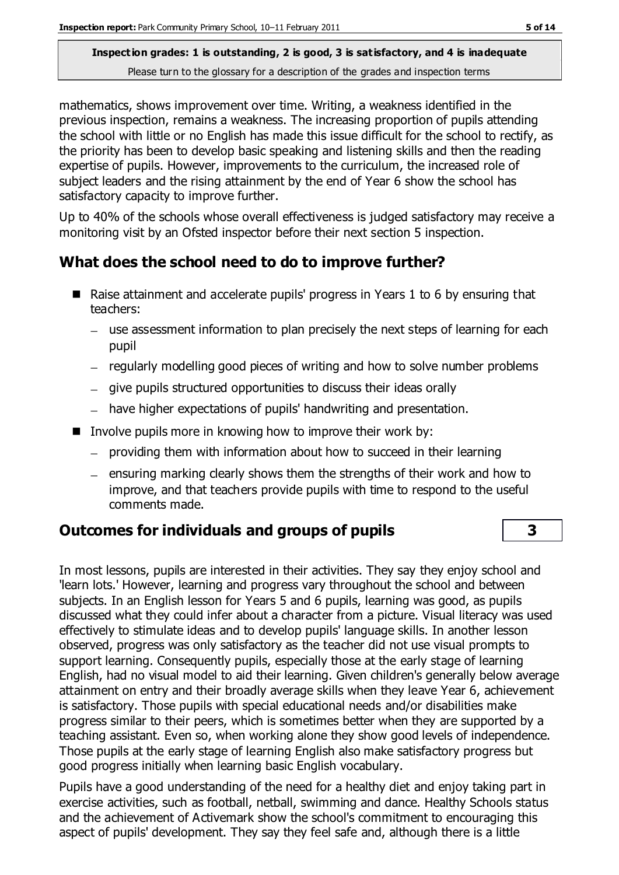mathematics, shows improvement over time. Writing, a weakness identified in the previous inspection, remains a weakness. The increasing proportion of pupils attending the school with little or no English has made this issue difficult for the school to rectify, as the priority has been to develop basic speaking and listening skills and then the reading expertise of pupils. However, improvements to the curriculum, the increased role of subject leaders and the rising attainment by the end of Year 6 show the school has satisfactory capacity to improve further.

Up to 40% of the schools whose overall effectiveness is judged satisfactory may receive a monitoring visit by an Ofsted inspector before their next section 5 inspection.

# **What does the school need to do to improve further?**

- Raise attainment and accelerate pupils' progress in Years 1 to 6 by ensuring that teachers:
	- use assessment information to plan precisely the next steps of learning for each pupil
	- regularly modelling good pieces of writing and how to solve number problems
	- $-$  give pupils structured opportunities to discuss their ideas orally
	- have higher expectations of pupils' handwriting and presentation.
- Involve pupils more in knowing how to improve their work by:
	- providing them with information about how to succeed in their learning
	- $=$  ensuring marking clearly shows them the strengths of their work and how to improve, and that teachers provide pupils with time to respond to the useful comments made.

# **Outcomes for individuals and groups of pupils 3**

In most lessons, pupils are interested in their activities. They say they enjoy school and 'learn lots.' However, learning and progress vary throughout the school and between subjects. In an English lesson for Years 5 and 6 pupils, learning was good, as pupils discussed what they could infer about a character from a picture. Visual literacy was used effectively to stimulate ideas and to develop pupils' language skills. In another lesson observed, progress was only satisfactory as the teacher did not use visual prompts to support learning. Consequently pupils, especially those at the early stage of learning English, had no visual model to aid their learning. Given children's generally below average attainment on entry and their broadly average skills when they leave Year 6, achievement is satisfactory. Those pupils with special educational needs and/or disabilities make progress similar to their peers, which is sometimes better when they are supported by a teaching assistant. Even so, when working alone they show good levels of independence. Those pupils at the early stage of learning English also make satisfactory progress but good progress initially when learning basic English vocabulary.

Pupils have a good understanding of the need for a healthy diet and enjoy taking part in exercise activities, such as football, netball, swimming and dance. Healthy Schools status and the achievement of Activemark show the school's commitment to encouraging this aspect of pupils' development. They say they feel safe and, although there is a little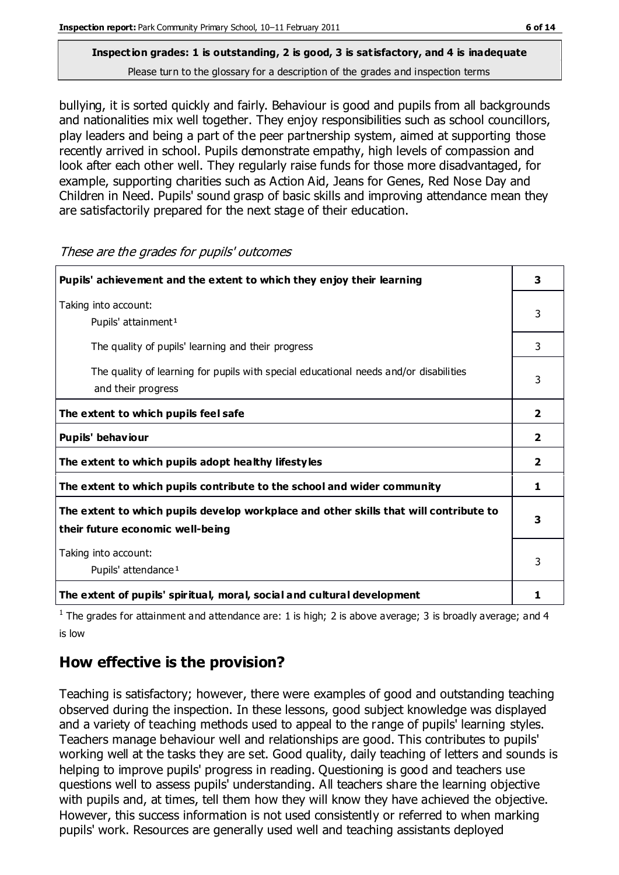bullying, it is sorted quickly and fairly. Behaviour is good and pupils from all backgrounds and nationalities mix well together. They enjoy responsibilities such as school councillors, play leaders and being a part of the peer partnership system, aimed at supporting those recently arrived in school. Pupils demonstrate empathy, high levels of compassion and look after each other well. They regularly raise funds for those more disadvantaged, for example, supporting charities such as Action Aid, Jeans for Genes, Red Nose Day and Children in Need. Pupils' sound grasp of basic skills and improving attendance mean they are satisfactorily prepared for the next stage of their education.

**Pupils' achievement and the extent to which they enjoy their learning 3** Taking into account: Pupils' attainment<sup>1</sup> 3 The quality of pupils' learning and their progress and  $\frac{3}{3}$  The quality of learning for pupils with special educational needs and/or disabilities and their progress 3 **The extent to which pupils feel safe 2 Pupils' behaviour 2 The extent to which pupils adopt healthy lifestyles 2 The extent to which pupils contribute to the school and wider community 1 The extent to which pupils develop workplace and other skills that will contribute to their future economic well-being 3** Taking into account: Pupils' attendance<sup>1</sup> 3 **The extent of pupils' spiritual, moral, social and cultural development 1**

These are the grades for pupils' outcomes

<sup>1</sup> The grades for attainment and attendance are: 1 is high; 2 is above average; 3 is broadly average; and 4 is low

# **How effective is the provision?**

Teaching is satisfactory; however, there were examples of good and outstanding teaching observed during the inspection. In these lessons, good subject knowledge was displayed and a variety of teaching methods used to appeal to the range of pupils' learning styles. Teachers manage behaviour well and relationships are good. This contributes to pupils' working well at the tasks they are set. Good quality, daily teaching of letters and sounds is helping to improve pupils' progress in reading. Questioning is good and teachers use questions well to assess pupils' understanding. All teachers share the learning objective with pupils and, at times, tell them how they will know they have achieved the objective. However, this success information is not used consistently or referred to when marking pupils' work. Resources are generally used well and teaching assistants deployed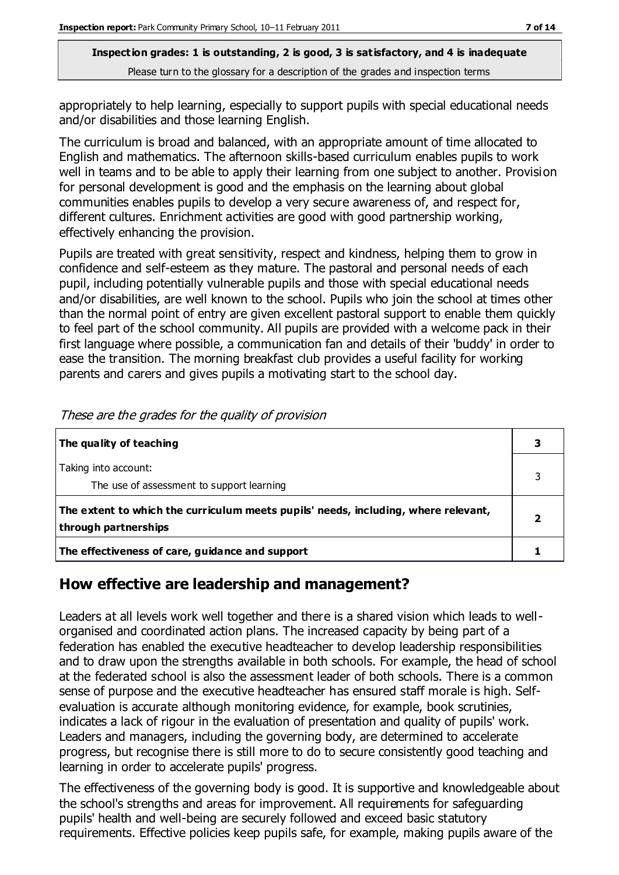appropriately to help learning, especially to support pupils with special educational needs and/or disabilities and those learning English.

The curriculum is broad and balanced, with an appropriate amount of time allocated to English and mathematics. The afternoon skills-based curriculum enables pupils to work well in teams and to be able to apply their learning from one subject to another. Provision for personal development is good and the emphasis on the learning about global communities enables pupils to develop a very secure awareness of, and respect for, different cultures. Enrichment activities are good with good partnership working, effectively enhancing the provision.

Pupils are treated with great sensitivity, respect and kindness, helping them to grow in confidence and self-esteem as they mature. The pastoral and personal needs of each pupil, including potentially vulnerable pupils and those with special educational needs and/or disabilities, are well known to the school. Pupils who join the school at times other than the normal point of entry are given excellent pastoral support to enable them quickly to feel part of the school community. All pupils are provided with a welcome pack in their first language where possible, a communication fan and details of their 'buddy' in order to ease the transition. The morning breakfast club provides a useful facility for working parents and carers and gives pupils a motivating start to the school day.

| The quality of teaching                                                                                    |  |
|------------------------------------------------------------------------------------------------------------|--|
| Taking into account:<br>The use of assessment to support learning                                          |  |
| The extent to which the curriculum meets pupils' needs, including, where relevant,<br>through partnerships |  |
| The effectiveness of care, guidance and support                                                            |  |

These are the grades for the quality of provision

# **How effective are leadership and management?**

Leaders at all levels work well together and there is a shared vision which leads to wellorganised and coordinated action plans. The increased capacity by being part of a federation has enabled the executive headteacher to develop leadership responsibilities and to draw upon the strengths available in both schools. For example, the head of school at the federated school is also the assessment leader of both schools. There is a common sense of purpose and the executive headteacher has ensured staff morale is high. Selfevaluation is accurate although monitoring evidence, for example, book scrutinies, indicates a lack of rigour in the evaluation of presentation and quality of pupils' work. Leaders and managers, including the governing body, are determined to accelerate progress, but recognise there is still more to do to secure consistently good teaching and learning in order to accelerate pupils' progress.

The effectiveness of the governing body is good. It is supportive and knowledgeable about the school's strengths and areas for improvement. All requirements for safeguarding pupils' health and well-being are securely followed and exceed basic statutory requirements. Effective policies keep pupils safe, for example, making pupils aware of the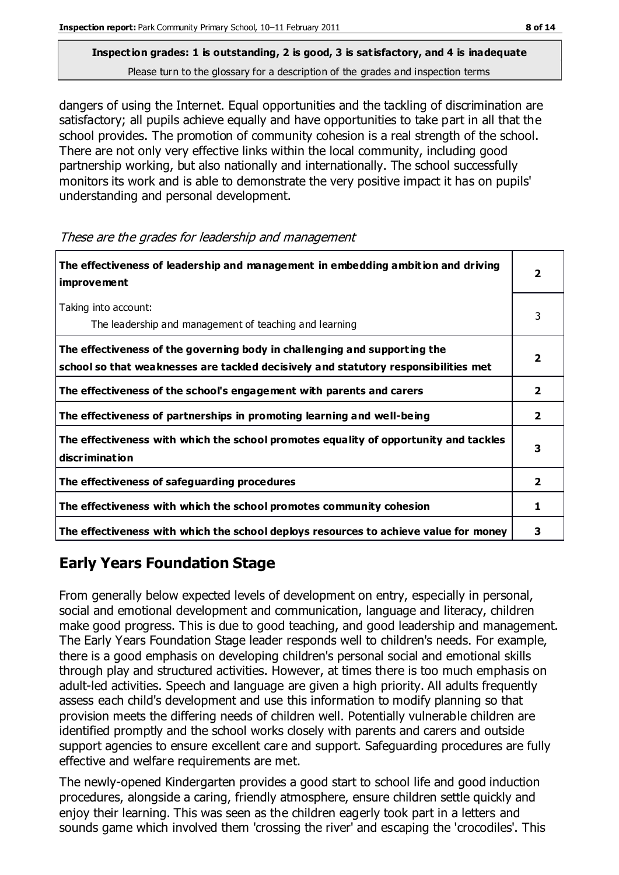dangers of using the Internet. Equal opportunities and the tackling of discrimination are satisfactory; all pupils achieve equally and have opportunities to take part in all that the school provides. The promotion of community cohesion is a real strength of the school. There are not only very effective links within the local community, including good partnership working, but also nationally and internationally. The school successfully monitors its work and is able to demonstrate the very positive impact it has on pupils' understanding and personal development.

These are the grades for leadership and management

| The effectiveness of leadership and management in embedding ambition and driving<br><b>improvement</b>                                                           | 2              |
|------------------------------------------------------------------------------------------------------------------------------------------------------------------|----------------|
| Taking into account:<br>The leadership and management of teaching and learning                                                                                   | 3              |
| The effectiveness of the governing body in challenging and supporting the<br>school so that weaknesses are tackled decisively and statutory responsibilities met |                |
| The effectiveness of the school's engagement with parents and carers                                                                                             | 2              |
| The effectiveness of partnerships in promoting learning and well-being                                                                                           | $\overline{2}$ |
| The effectiveness with which the school promotes equality of opportunity and tackles<br><b>discrimination</b>                                                    | 3              |
| The effectiveness of safeguarding procedures                                                                                                                     | 2              |
| The effectiveness with which the school promotes community cohesion                                                                                              | ı              |
| The effectiveness with which the school deploys resources to achieve value for money                                                                             | з              |

# **Early Years Foundation Stage**

From generally below expected levels of development on entry, especially in personal, social and emotional development and communication, language and literacy, children make good progress. This is due to good teaching, and good leadership and management. The Early Years Foundation Stage leader responds well to children's needs. For example, there is a good emphasis on developing children's personal social and emotional skills through play and structured activities. However, at times there is too much emphasis on adult-led activities. Speech and language are given a high priority. All adults frequently assess each child's development and use this information to modify planning so that provision meets the differing needs of children well. Potentially vulnerable children are identified promptly and the school works closely with parents and carers and outside support agencies to ensure excellent care and support. Safeguarding procedures are fully effective and welfare requirements are met.

The newly-opened Kindergarten provides a good start to school life and good induction procedures, alongside a caring, friendly atmosphere, ensure children settle quickly and enjoy their learning. This was seen as the children eagerly took part in a letters and sounds game which involved them 'crossing the river' and escaping the 'crocodiles'. This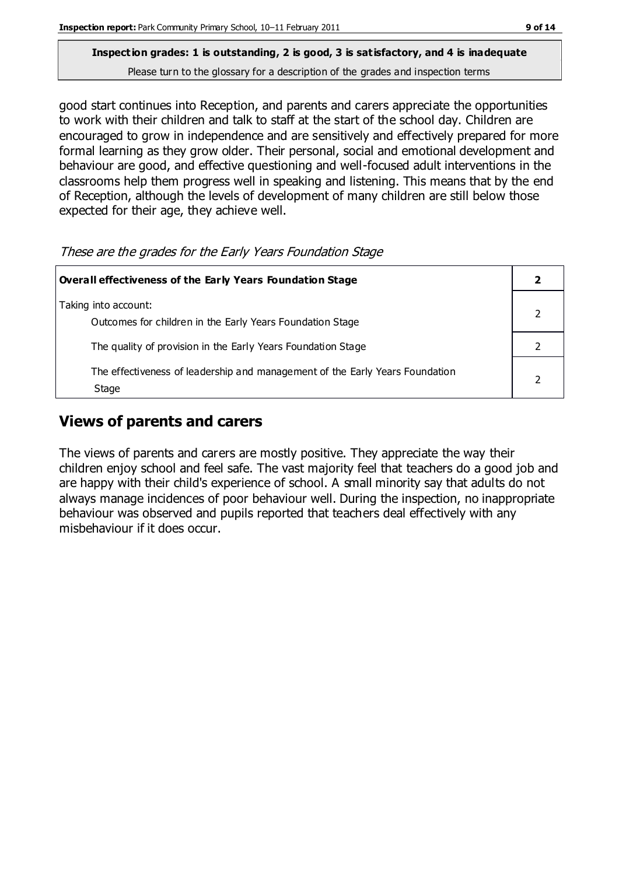good start continues into Reception, and parents and carers appreciate the opportunities to work with their children and talk to staff at the start of the school day. Children are encouraged to grow in independence and are sensitively and effectively prepared for more formal learning as they grow older. Their personal, social and emotional development and behaviour are good, and effective questioning and well-focused adult interventions in the classrooms help them progress well in speaking and listening. This means that by the end of Reception, although the levels of development of many children are still below those expected for their age, they achieve well.

These are the grades for the Early Years Foundation Stage

| Overall effectiveness of the Early Years Foundation Stage                             |  |  |
|---------------------------------------------------------------------------------------|--|--|
| Taking into account:<br>Outcomes for children in the Early Years Foundation Stage     |  |  |
| The quality of provision in the Early Years Foundation Stage                          |  |  |
| The effectiveness of leadership and management of the Early Years Foundation<br>Stage |  |  |

# **Views of parents and carers**

The views of parents and carers are mostly positive. They appreciate the way their children enjoy school and feel safe. The vast majority feel that teachers do a good job and are happy with their child's experience of school. A small minority say that adults do not always manage incidences of poor behaviour well. During the inspection, no inappropriate behaviour was observed and pupils reported that teachers deal effectively with any misbehaviour if it does occur.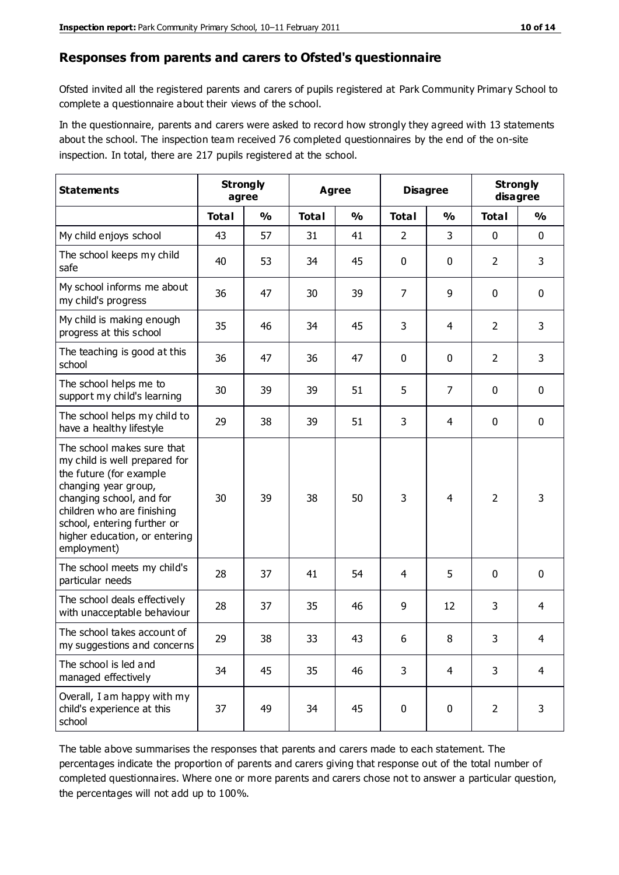#### **Responses from parents and carers to Ofsted's questionnaire**

Ofsted invited all the registered parents and carers of pupils registered at Park Community Primary School to complete a questionnaire about their views of the school.

In the questionnaire, parents and carers were asked to record how strongly they agreed with 13 statements about the school. The inspection team received 76 completed questionnaires by the end of the on-site inspection. In total, there are 217 pupils registered at the school.

| <b>Statements</b>                                                                                                                                                                                                                                       | <b>Strongly</b><br>agree |               | <b>Agree</b> |               | <b>Disagree</b> |                | <b>Strongly</b><br>disagree |               |
|---------------------------------------------------------------------------------------------------------------------------------------------------------------------------------------------------------------------------------------------------------|--------------------------|---------------|--------------|---------------|-----------------|----------------|-----------------------------|---------------|
|                                                                                                                                                                                                                                                         | <b>Total</b>             | $\frac{0}{0}$ | <b>Total</b> | $\frac{0}{0}$ | <b>Total</b>    | $\frac{0}{0}$  | <b>Total</b>                | $\frac{0}{0}$ |
| My child enjoys school                                                                                                                                                                                                                                  | 43                       | 57            | 31           | 41            | 2               | 3              | $\mathbf 0$                 | $\mathbf 0$   |
| The school keeps my child<br>safe                                                                                                                                                                                                                       | 40                       | 53            | 34           | 45            | 0               | 0              | $\overline{2}$              | 3             |
| My school informs me about<br>my child's progress                                                                                                                                                                                                       | 36                       | 47            | 30           | 39            | 7               | 9              | $\mathbf 0$                 | $\mathbf 0$   |
| My child is making enough<br>progress at this school                                                                                                                                                                                                    | 35                       | 46            | 34           | 45            | 3               | 4              | 2                           | 3             |
| The teaching is good at this<br>school                                                                                                                                                                                                                  | 36                       | 47            | 36           | 47            | 0               | 0              | $\overline{2}$              | 3             |
| The school helps me to<br>support my child's learning                                                                                                                                                                                                   | 30                       | 39            | 39           | 51            | 5               | $\overline{7}$ | $\mathbf 0$                 | $\mathbf 0$   |
| The school helps my child to<br>have a healthy lifestyle                                                                                                                                                                                                | 29                       | 38            | 39           | 51            | 3               | 4              | $\mathbf 0$                 | $\mathbf 0$   |
| The school makes sure that<br>my child is well prepared for<br>the future (for example<br>changing year group,<br>changing school, and for<br>children who are finishing<br>school, entering further or<br>higher education, or entering<br>employment) | 30                       | 39            | 38           | 50            | 3               | 4              | $\overline{2}$              | 3             |
| The school meets my child's<br>particular needs                                                                                                                                                                                                         | 28                       | 37            | 41           | 54            | 4               | 5              | $\mathbf 0$                 | $\mathbf 0$   |
| The school deals effectively<br>with unacceptable behaviour                                                                                                                                                                                             | 28                       | 37            | 35           | 46            | 9               | 12             | 3                           | 4             |
| The school takes account of<br>my suggestions and concerns                                                                                                                                                                                              | 29                       | 38            | 33           | 43            | 6               | 8              | 3                           | 4             |
| The school is led and<br>managed effectively                                                                                                                                                                                                            | 34                       | 45            | 35           | 46            | 3               | $\overline{4}$ | 3                           | 4             |
| Overall, I am happy with my<br>child's experience at this<br>school                                                                                                                                                                                     | 37                       | 49            | 34           | 45            | $\pmb{0}$       | 0              | $\overline{2}$              | 3             |

The table above summarises the responses that parents and carers made to each statement. The percentages indicate the proportion of parents and carers giving that response out of the total number of completed questionnaires. Where one or more parents and carers chose not to answer a particular question, the percentages will not add up to 100%.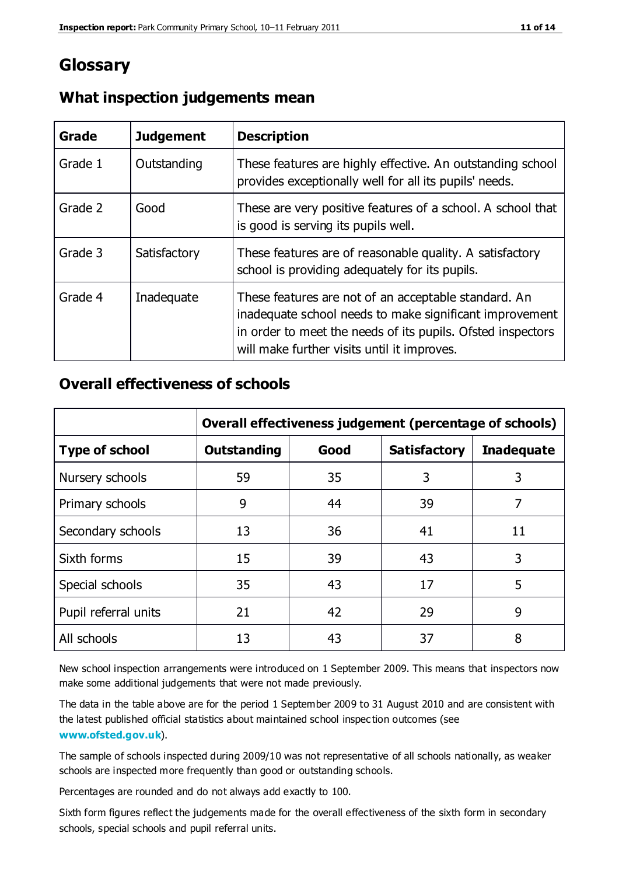# **Glossary**

| Grade   | <b>Judgement</b> | <b>Description</b>                                                                                                                                                                                                            |
|---------|------------------|-------------------------------------------------------------------------------------------------------------------------------------------------------------------------------------------------------------------------------|
| Grade 1 | Outstanding      | These features are highly effective. An outstanding school<br>provides exceptionally well for all its pupils' needs.                                                                                                          |
| Grade 2 | Good             | These are very positive features of a school. A school that<br>is good is serving its pupils well.                                                                                                                            |
| Grade 3 | Satisfactory     | These features are of reasonable quality. A satisfactory<br>school is providing adequately for its pupils.                                                                                                                    |
| Grade 4 | Inadequate       | These features are not of an acceptable standard. An<br>inadequate school needs to make significant improvement<br>in order to meet the needs of its pupils. Ofsted inspectors<br>will make further visits until it improves. |

## **What inspection judgements mean**

# **Overall effectiveness of schools**

|                       | Overall effectiveness judgement (percentage of schools) |      |                     |                   |
|-----------------------|---------------------------------------------------------|------|---------------------|-------------------|
| <b>Type of school</b> | <b>Outstanding</b>                                      | Good | <b>Satisfactory</b> | <b>Inadequate</b> |
| Nursery schools       | 59                                                      | 35   | 3                   | 3                 |
| Primary schools       | 9                                                       | 44   | 39                  | 7                 |
| Secondary schools     | 13                                                      | 36   | 41                  | 11                |
| Sixth forms           | 15                                                      | 39   | 43                  | 3                 |
| Special schools       | 35                                                      | 43   | 17                  | 5                 |
| Pupil referral units  | 21                                                      | 42   | 29                  | 9                 |
| All schools           | 13                                                      | 43   | 37                  | 8                 |

New school inspection arrangements were introduced on 1 September 2009. This means that inspectors now make some additional judgements that were not made previously.

The data in the table above are for the period 1 September 2009 to 31 August 2010 and are consistent with the latest published official statistics about maintained school inspec tion outcomes (see **[www.ofsted.gov.uk](http://www.ofsted.gov.uk/)**).

The sample of schools inspected during 2009/10 was not representative of all schools nationally, as weaker schools are inspected more frequently than good or outstanding schools.

Percentages are rounded and do not always add exactly to 100.

Sixth form figures reflect the judgements made for the overall effectiveness of the sixth form in secondary schools, special schools and pupil referral units.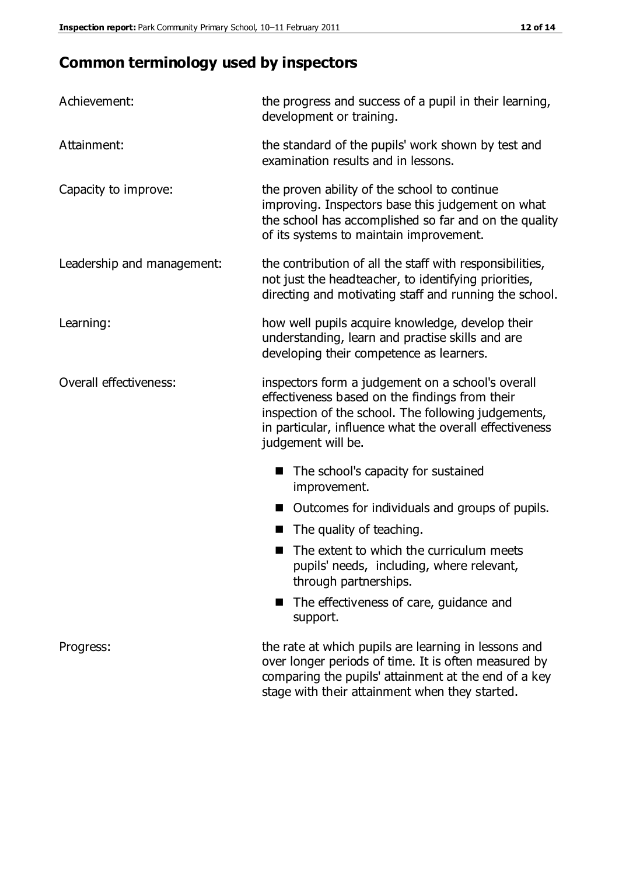# **Common terminology used by inspectors**

| Achievement:               | the progress and success of a pupil in their learning,<br>development or training.                                                                                                                                                          |  |  |
|----------------------------|---------------------------------------------------------------------------------------------------------------------------------------------------------------------------------------------------------------------------------------------|--|--|
| Attainment:                | the standard of the pupils' work shown by test and<br>examination results and in lessons.                                                                                                                                                   |  |  |
| Capacity to improve:       | the proven ability of the school to continue<br>improving. Inspectors base this judgement on what<br>the school has accomplished so far and on the quality<br>of its systems to maintain improvement.                                       |  |  |
| Leadership and management: | the contribution of all the staff with responsibilities,<br>not just the headteacher, to identifying priorities,<br>directing and motivating staff and running the school.                                                                  |  |  |
| Learning:                  | how well pupils acquire knowledge, develop their<br>understanding, learn and practise skills and are<br>developing their competence as learners.                                                                                            |  |  |
| Overall effectiveness:     | inspectors form a judgement on a school's overall<br>effectiveness based on the findings from their<br>inspection of the school. The following judgements,<br>in particular, influence what the overall effectiveness<br>judgement will be. |  |  |
|                            | The school's capacity for sustained<br>improvement.                                                                                                                                                                                         |  |  |
|                            | Outcomes for individuals and groups of pupils.                                                                                                                                                                                              |  |  |
|                            | The quality of teaching.                                                                                                                                                                                                                    |  |  |
|                            | The extent to which the curriculum meets<br>pupils' needs, including, where relevant,<br>through partnerships.                                                                                                                              |  |  |
|                            | The effectiveness of care, guidance and<br>support.                                                                                                                                                                                         |  |  |
| Progress:                  | the rate at which pupils are learning in lessons and<br>over longer periods of time. It is often measured by<br>comparing the pupils' attainment at the end of a key                                                                        |  |  |

stage with their attainment when they started.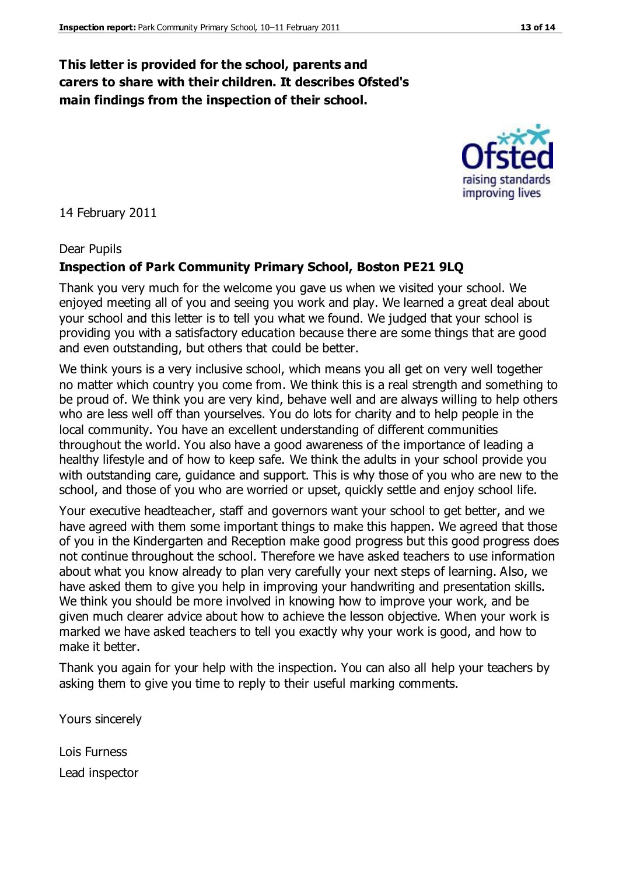## **This letter is provided for the school, parents and carers to share with their children. It describes Ofsted's main findings from the inspection of their school.**

14 February 2011

#### Dear Pupils

#### **Inspection of Park Community Primary School, Boston PE21 9LQ**

Thank you very much for the welcome you gave us when we visited your school. We enjoyed meeting all of you and seeing you work and play. We learned a great deal about your school and this letter is to tell you what we found. We judged that your school is providing you with a satisfactory education because there are some things that are good and even outstanding, but others that could be better.

We think yours is a very inclusive school, which means you all get on very well together no matter which country you come from. We think this is a real strength and something to be proud of. We think you are very kind, behave well and are always willing to help others who are less well off than yourselves. You do lots for charity and to help people in the local community. You have an excellent understanding of different communities throughout the world. You also have a good awareness of the importance of leading a healthy lifestyle and of how to keep safe. We think the adults in your school provide you with outstanding care, guidance and support. This is why those of you who are new to the school, and those of you who are worried or upset, quickly settle and enjoy school life.

Your executive headteacher, staff and governors want your school to get better, and we have agreed with them some important things to make this happen. We agreed that those of you in the Kindergarten and Reception make good progress but this good progress does not continue throughout the school. Therefore we have asked teachers to use information about what you know already to plan very carefully your next steps of learning. Also, we have asked them to give you help in improving your handwriting and presentation skills. We think you should be more involved in knowing how to improve your work, and be given much clearer advice about how to achieve the lesson objective. When your work is marked we have asked teachers to tell you exactly why your work is good, and how to make it better.

Thank you again for your help with the inspection. You can also all help your teachers by asking them to give you time to reply to their useful marking comments.

Yours sincerely

Lois Furness Lead inspector